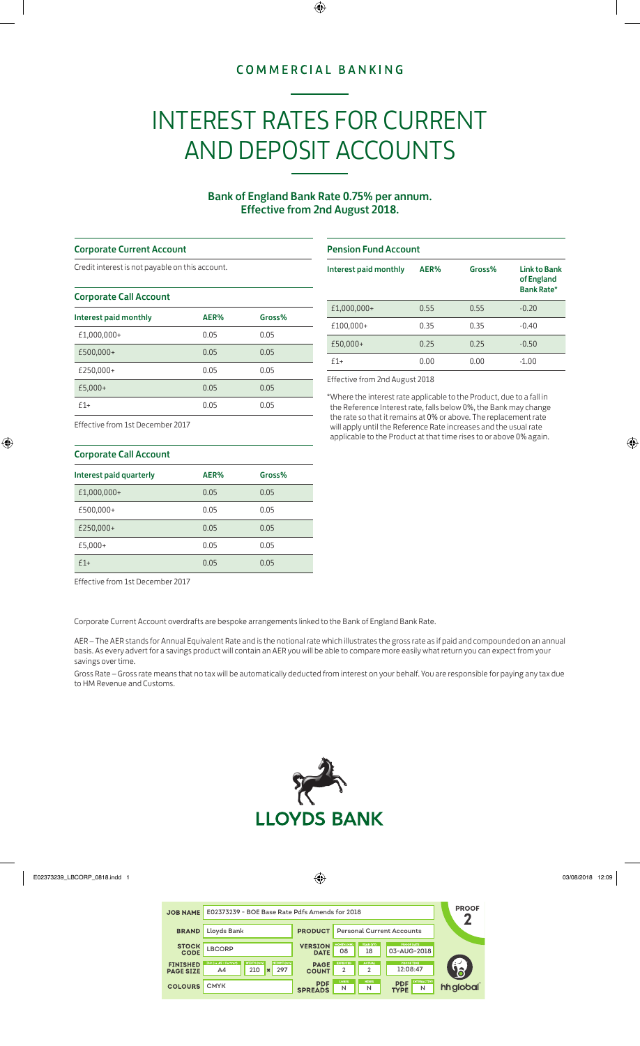## **COMMERCIAL BANKING**

# INTEREST RATES FOR CURRENT AND DEPOSIT ACCOUNTS

## Bank of England Bank Rate 0.75% per annum. Effective from 2nd August 2018.

#### Corporate Current Account

Credit interest is not payable on this account.

#### Corporate Call Account

| Interest paid monthly | AER% | Gross% |
|-----------------------|------|--------|
| £1,000,000+           | 0.05 | 0.05   |
| £500,000+             | 0.05 | 0.05   |
| £250,000+             | 0.05 | 0.05   |
| £5,000+               | 0.05 | 0.05   |
| $f1+$                 | 0.05 | 0.05   |

#### Pension Fund Account

| Interest paid monthly | AER% | Gross% | <b>Link to Bank</b><br>of England<br><b>Bank Rate*</b> |
|-----------------------|------|--------|--------------------------------------------------------|
| £1,000,000+           | 0.55 | 0.55   | $-0.20$                                                |
| £100,000+             | 0.35 | 0.35   | $-0.40$                                                |
| £50,000+              | 0.25 | 0.25   | $-0.50$                                                |
| f1+                   | 0.00 | 0.00   | $-1.00$                                                |

Effective from 2nd August 2018

\*Where the interest rate applicable to the Product, due to a fall in the Reference Interest rate, falls below 0%, the Bank may change the rate so that it remains at 0% or above. The replacement rate will apply until the Reference Rate increases and the usual rate applicable to the Product at that time rises to or above 0% again.

### Effective from 1st December 2017

| <b>Corporate Call Account</b> |      |        |  |  |  |
|-------------------------------|------|--------|--|--|--|
| Interest paid quarterly       | AER% | Gross% |  |  |  |
| £1,000,000+                   | 0.05 | 0.05   |  |  |  |
| £500,000+                     | 0.05 | 0.05   |  |  |  |
| £250,000+                     | 0.05 | 0.05   |  |  |  |
| £5,000+                       | 0.05 | 0.05   |  |  |  |
| $f1+$                         | 0.05 | 0.05   |  |  |  |

Effective from 1st December 2017

Corporate Current Account overdrafts are bespoke arrangements linked to the Bank of England Bank Rate.

AER – The AER stands for Annual Equivalent Rate and is the notional rate which illustrates the gross rate as if paid and compounded on an annual basis. As every advert for a savings product will contain an AER you will be able to compare more easily what return you can expect from your savings over time.

Gross Rate – Gross rate means that no tax will be automatically deducted from interest on your behalf. You are responsible for paying any tax due to HM Revenue and Customs.